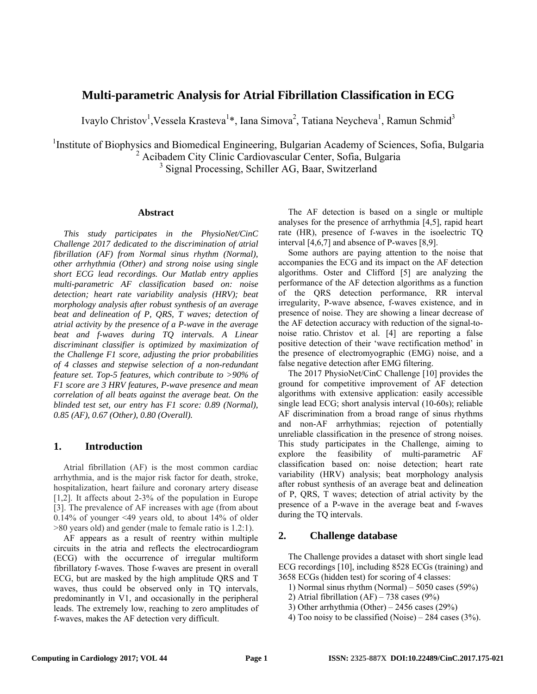# **Multi-parametric Analysis for Atrial Fibrillation Classification in ECG**

Ivaylo Christov<sup>1</sup>, Vessela Krasteva<sup>1</sup>\*, Iana Simova<sup>2</sup>, Tatiana Neycheva<sup>1</sup>, Ramun Schmid<sup>3</sup>

<sup>1</sup>Institute of Biophysics and Biomedical Engineering, Bulgarian Academy of Sciences, Sofia, Bulgaria 2 Acibadem City Clinic Cardiovascular Center, Sofia, Bulgaria

<sup>3</sup> Signal Processing, Schiller AG, Baar, Switzerland

### **Abstract**

*This study participates in the PhysioNet/CinC Challenge 2017 dedicated to the discrimination of atrial fibrillation (AF) from Normal sinus rhythm (Normal), other arrhythmia (Other) and strong noise using single short ECG lead recordings. Our Matlab entry applies multi-parametric AF classification based on: noise detection; heart rate variability analysis (HRV); beat morphology analysis after robust synthesis of an average beat and delineation of P, QRS, T waves; detection of atrial activity by the presence of a P-wave in the average beat and f-waves during TQ intervals. A Linear discriminant classifier is optimized by maximization of the Challenge F1 score, adjusting the prior probabilities of 4 classes and stepwise selection of a non-redundant feature set. Top-5 features, which contribute to >90% of F1 score are 3 HRV features, P-wave presence and mean correlation of all beats against the average beat. On the blinded test set, our entry has F1 score: 0.89 (Normal), 0.85 (AF), 0.67 (Other), 0.80 (Overall).* 

# **1. Introduction**

Atrial fibrillation (AF) is the most common cardiac arrhythmia, and is the major risk factor for death, stroke, hospitalization, heart failure and coronary artery disease [1,2]. It affects about 2-3% of the population in Europe [3]. The prevalence of AF increases with age (from about 0.14% of younger <49 years old, to about 14% of older >80 years old) and gender (male to female ratio is 1.2:1).

AF appears as a result of reentry within multiple circuits in the atria and reflects the electrocardiogram (ECG) with the occurrence of irregular multiform fibrillatory f-waves. Those f-waves are present in overall ECG, but are masked by the high amplitude QRS and T waves, thus could be observed only in TQ intervals, predominantly in V1, and occasionally in the peripheral leads. The extremely low, reaching to zero amplitudes of f-waves, makes the AF detection very difficult.

The AF detection is based on a single or multiple analyses for the presence of arrhythmia [4,5], rapid heart rate (HR), presence of f-waves in the isoelectric TQ interval [4,6,7] and absence of P-waves [8,9].

Some authors are paying attention to the noise that accompanies the ECG and its impact on the AF detection algorithms. Oster and Clifford [5] are analyzing the performance of the AF detection algorithms as a function of the QRS detection performance, RR interval irregularity, P-wave absence, f-waves existence, and in presence of noise. They are showing a linear decrease of the AF detection accuracy with reduction of the signal-tonoise ratio. Christov et al. [4] are reporting a false positive detection of their 'wave rectification method' in the presence of electromyographic (EMG) noise, and a false negative detection after EMG filtering.

The 2017 PhysioNet/CinC Challenge [10] provides the ground for competitive improvement of AF detection algorithms with extensive application: easily accessible single lead ECG; short analysis interval (10-60s); reliable AF discrimination from a broad range of sinus rhythms and non-AF arrhythmias; rejection of potentially unreliable classification in the presence of strong noises. This study participates in the Challenge, aiming to explore the feasibility of multi-parametric AF classification based on: noise detection; heart rate variability (HRV) analysis; beat morphology analysis after robust synthesis of an average beat and delineation of P, QRS, T waves; detection of atrial activity by the presence of a P-wave in the average beat and f-waves during the TQ intervals.

# **2. Challenge database**

The Challenge provides a dataset with short single lead ECG recordings [10], including 8528 ECGs (training) and 3658 ECGs (hidden test) for scoring of 4 classes:

- 1) Normal sinus rhythm (Normal) 5050 cases (59%)
- 2) Atrial fibrillation  $(AF) 738$  cases  $(9\%)$
- 3) Other arrhythmia (Other) 2456 cases (29%)
- 4) Too noisy to be classified (Noise) 284 cases  $(3\%)$ .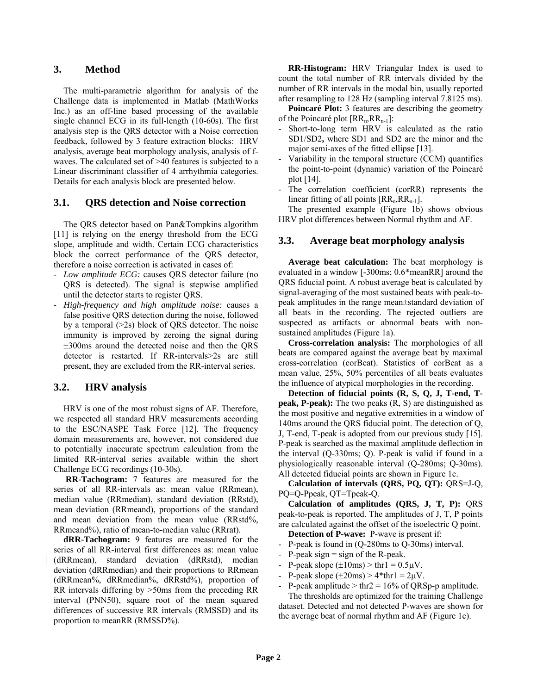# **3. Method**

The multi-parametric algorithm for analysis of the Challenge data is implemented in Matlab (MathWorks Inc.) as an off-line based processing of the available single channel ECG in its full-length (10-60s). The first analysis step is the QRS detector with a Noise correction feedback, followed by 3 feature extraction blocks: HRV analysis, average beat morphology analysis, analysis of fwaves. The calculated set of >40 features is subjected to a Linear discriminant classifier of 4 arrhythmia categories. Details for each analysis block are presented below.

# **3.1. QRS detection and Noise correction**

The QRS detector based on Pan&Tompkins algorithm [11] is relying on the energy threshold from the ECG slope, amplitude and width. Certain ECG characteristics block the correct performance of the QRS detector, therefore a noise correction is activated in cases of:

- *Low amplitude ECG:* causes QRS detector failure (no QRS is detected). The signal is stepwise amplified until the detector starts to register QRS.
- *High-frequency and high amplitude noise:* causes a false positive QRS detection during the noise, followed by a temporal  $(>=2s)$  block of QRS detector. The noise immunity is improved by zeroing the signal during 300ms around the detected noise and then the QRS detector is restarted. If RR-intervals>2s are still present, they are excluded from the RR-interval series.

# **3.2. HRV analysis**

HRV is one of the most robust signs of AF. Therefore, we respected all standard HRV measurements according to the ESC/NASPE Task Force [12]. The frequency domain measurements are, however, not considered due to potentially inaccurate spectrum calculation from the limited RR-interval series available within the short Challenge ECG recordings (10-30s).

**RR-Tachogram:** 7 features are measured for the series of all RR-intervals as: mean value (RRmean), median value (RRmedian), standard deviation (RRstd), mean deviation (RRmeand), proportions of the standard and mean deviation from the mean value (RRstd%, RRmeand%), ratio of mean-to-median value (RRrat).

**dRR-Tachogram:** 9 features are measured for the series of all RR-interval first differences as: mean value (dRRmean), standard deviation (dRRstd), median deviation (dRRmedian) and their proportions to RRmean (dRRmean%, dRRmedian%, dRRstd%), proportion of RR intervals differing by >50ms from the preceding RR interval (PNN50), square root of the mean squared differences of successive RR intervals (RMSSD) and its proportion to meanRR (RMSSD%).

**RR-Histogram:** HRV Triangular Index is used to count the total number of RR intervals divided by the number of RR intervals in the modal bin, usually reported after resampling to 128 Hz (sampling interval 7.8125 ms).

**Poincaré Plot:** 3 features are describing the geometry of the Poincaré plot  $[RR_n,RR_{n-1}]$ :

- Short-to-long term HRV is calculated as the ratio SD1/SD2**,** where SD1 and SD2 are the minor and the major semi-axes of the fitted ellipse [13].
- Variability in the temporal structure (CCM) quantifies the point-to-point (dynamic) variation of the Poincaré plot [14].
- The correlation coefficient (corRR) represents the linear fitting of all points  $[RR_n,RR_{n-1}].$

The presented example (Figure 1b) shows obvious HRV plot differences between Normal rhythm and AF.

# **3.3. Average beat morphology analysis**

**Average beat calculation:** The beat morphology is evaluated in a window [-300ms; 0.6\*meanRR] around the QRS fiducial point. A robust average beat is calculated by signal-averaging of the most sustained beats with peak-topeak amplitudes in the range mean±standard deviation of all beats in the recording. The rejected outliers are suspected as artifacts or abnormal beats with nonsustained amplitudes (Figure 1a).

**Cross-correlation analysis:** The morphologies of all beats are compared against the average beat by maximal cross-correlation (corBeat). Statistics of corBeat as a mean value, 25%, 50% percentiles of all beats evaluates the influence of atypical morphologies in the recording.

**Detection of fiducial points (R, S, Q, J, T-end, Tpeak, P-peak):** The two peaks (R, S) are distinguished as the most positive and negative extremities in a window of 140ms around the QRS fiducial point. The detection of Q, J, T-end, T-peak is adopted from our previous study [15]. P-peak is searched as the maximal amplitude deflection in the interval (Q-330ms; Q). P-peak is valid if found in a physiologically reasonable interval (Q-280ms; Q-30ms). All detected fiducial points are shown in Figure 1c.

**Calculation of intervals (QRS, PQ, QT):** QRS=J-Q, PQ=Q-Ppeak, QT=Tpeak-Q.

**Calculation of amplitudes (QRS, J, T, P):** QRS peak-to-peak is reported. The amplitudes of J, T, P points are calculated against the offset of the isoelectric Q point.

**Detection of P-wave:** P-wave is present if:

- P-peak is found in (Q-280ms to Q-30ms) interval.
- $P$ -peak sign = sign of the R-peak.
- P-peak slope  $(\pm 10 \text{ms})$  > thr1 = 0.5 $\mu$ V.
- P-peak slope  $(\pm 20 \text{ms}) > 4* \text{thr1} = 2 \mu V$ .
- P-peak amplitude  $>$  thr2 = 16% of QRSp-p amplitude.

The thresholds are optimized for the training Challenge dataset. Detected and not detected P-waves are shown for the average beat of normal rhythm and AF (Figure 1c).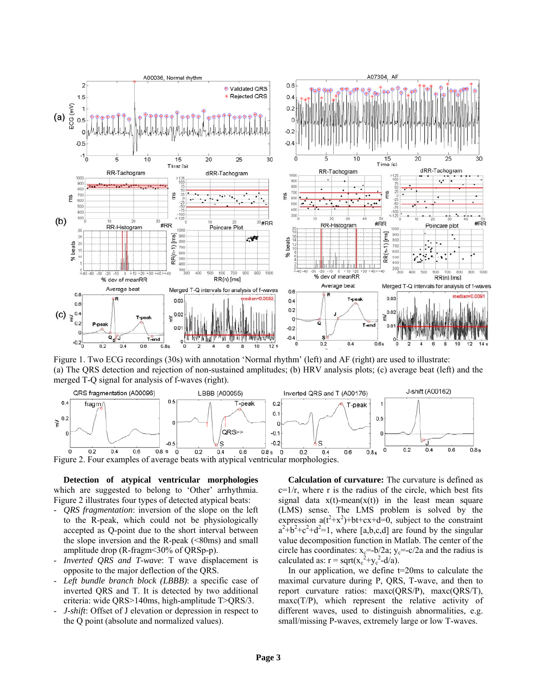

Figure 1. Two ECG recordings (30s) with annotation 'Normal rhythm' (left) and AF (right) are used to illustrate: (a) The QRS detection and rejection of non-sustained amplitudes; (b) HRV analysis plots; (c) average beat (left) and the merged T-Q signal for analysis of f-waves (right).



**Detection of atypical ventricular morphologies**  which are suggested to belong to 'Other' arrhythmia. Figure 2 illustrates four types of detected atypical beats:

- *QRS fragmentation*: inversion of the slope on the left to the R-peak, which could not be physiologically accepted as Q-point due to the short interval between the slope inversion and the R-peak  $(\leq 80 \text{ms})$  and small amplitude drop (R-fragm<30% of QRSp-p).
- *Inverted QRS and T-wave*: T wave displacement is opposite to the major deflection of the QRS.
- Left bundle branch block (LBBB): a specific case of inverted QRS and T. It is detected by two additional criteria: wide QRS>140ms, high-amplitude T>QRS/3.
- *J-shift*: Offset of J elevation or depression in respect to the Q point (absolute and normalized values).

**Calculation of curvature:** The curvature is defined as  $c=1/r$ , where r is the radius of the circle, which best fits signal data  $x(t)$ -mean( $x(t)$ ) in the least mean square (LMS) sense. The LMS problem is solved by the expression  $a(t^2+x^2)+bt+cx+d=0$ , subject to the constraint  $a^2 + b^2 + c^2 + d^2 = 1$ , where [a,b,c,d] are found by the singular value decomposition function in Matlab. The center of the circle has coordinates:  $x_c=-b/2a$ ;  $y_c=-c/2a$  and the radius is calculated as:  $r = \text{sqrt}(x_c^2+y_c^2-d/a)$ .

In our application, we define  $t=20$ ms to calculate the maximal curvature during P, QRS, T-wave, and then to report curvature ratios: maxc(QRS/P), maxc(QRS/T),  $maxc(T/P)$ , which represent the relative activity of different waves, used to distinguish abnormalities, e.g. small/missing P-waves, extremely large or low T-waves.